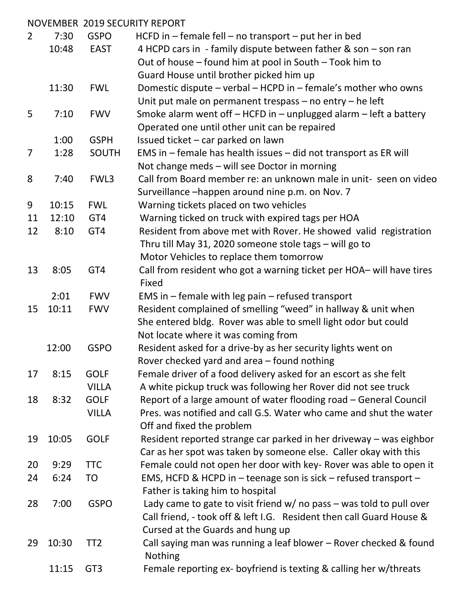|                |       |                 | <b>NOVEMBER 2019 SECURITY REPORT</b>                                                                                                    |
|----------------|-------|-----------------|-----------------------------------------------------------------------------------------------------------------------------------------|
| $\overline{2}$ | 7:30  | <b>GSPO</b>     | HCFD in $-$ female fell $-$ no transport $-$ put her in bed                                                                             |
|                | 10:48 | <b>EAST</b>     | 4 HCPD cars in - family dispute between father & son - son ran                                                                          |
|                |       |                 | Out of house – found him at pool in South – Took him to                                                                                 |
|                |       |                 | Guard House until brother picked him up                                                                                                 |
|                | 11:30 | <b>FWL</b>      | Domestic dispute – verbal – HCPD in – female's mother who owns                                                                          |
|                |       |                 | Unit put male on permanent trespass $-$ no entry $-$ he left                                                                            |
| 5              | 7:10  | <b>FWV</b>      | Smoke alarm went off - HCFD in - unplugged alarm - left a battery                                                                       |
|                |       |                 | Operated one until other unit can be repaired                                                                                           |
|                | 1:00  | <b>GSPH</b>     | Issued ticket - car parked on lawn                                                                                                      |
| 7              | 1:28  | <b>SOUTH</b>    | EMS in - female has health issues - did not transport as ER will                                                                        |
|                |       |                 | Not change meds - will see Doctor in morning                                                                                            |
| 8              | 7:40  | FWL3            | Call from Board member re: an unknown male in unit-seen on video                                                                        |
|                |       |                 | Surveillance -happen around nine p.m. on Nov. 7                                                                                         |
| 9              | 10:15 | <b>FWL</b>      | Warning tickets placed on two vehicles                                                                                                  |
| 11             | 12:10 | GT4             | Warning ticked on truck with expired tags per HOA                                                                                       |
| 12             | 8:10  | GT4             | Resident from above met with Rover. He showed valid registration                                                                        |
|                |       |                 | Thru till May 31, 2020 someone stole tags - will go to                                                                                  |
|                |       |                 | Motor Vehicles to replace them tomorrow                                                                                                 |
| 13             | 8:05  | GT4             | Call from resident who got a warning ticket per HOA- will have tires                                                                    |
|                |       |                 | Fixed                                                                                                                                   |
|                | 2:01  | <b>FWV</b>      | EMS in $-$ female with leg pain $-$ refused transport                                                                                   |
| 15             | 10:11 | <b>FWV</b>      | Resident complained of smelling "weed" in hallway & unit when                                                                           |
|                |       |                 | She entered bldg. Rover was able to smell light odor but could                                                                          |
|                |       |                 | Not locate where it was coming from                                                                                                     |
|                | 12:00 | <b>GSPO</b>     | Resident asked for a drive-by as her security lights went on                                                                            |
|                |       |                 | Rover checked yard and area – found nothing                                                                                             |
| 17             | 8:15  | <b>GOLF</b>     | Female driver of a food delivery asked for an escort as she felt                                                                        |
|                |       | <b>VILLA</b>    |                                                                                                                                         |
| 18             | 8:32  | <b>GOLF</b>     | A white pickup truck was following her Rover did not see truck                                                                          |
|                |       | <b>VILLA</b>    | Report of a large amount of water flooding road - General Council<br>Pres. was notified and call G.S. Water who came and shut the water |
|                |       |                 |                                                                                                                                         |
|                |       |                 | Off and fixed the problem                                                                                                               |
| 19             | 10:05 | <b>GOLF</b>     | Resident reported strange car parked in her driveway – was eighbor                                                                      |
|                |       |                 | Car as her spot was taken by someone else. Caller okay with this                                                                        |
| 20             | 9:29  | <b>TTC</b>      | Female could not open her door with key- Rover was able to open it                                                                      |
| 24             | 6:24  | T <sub>O</sub>  | EMS, HCFD & HCPD in - teenage son is sick - refused transport -                                                                         |
|                |       |                 | Father is taking him to hospital                                                                                                        |
| 28             | 7:00  | <b>GSPO</b>     | Lady came to gate to visit friend $w/$ no pass – was told to pull over                                                                  |
|                |       |                 | Call friend, - took off & left I.G. Resident then call Guard House &                                                                    |
|                |       |                 | Cursed at the Guards and hung up                                                                                                        |
| 29             | 10:30 | TT <sub>2</sub> | Call saying man was running a leaf blower – Rover checked & found                                                                       |
|                |       |                 | <b>Nothing</b>                                                                                                                          |
|                | 11:15 | GT <sub>3</sub> | Female reporting ex- boyfriend is texting & calling her w/threats                                                                       |